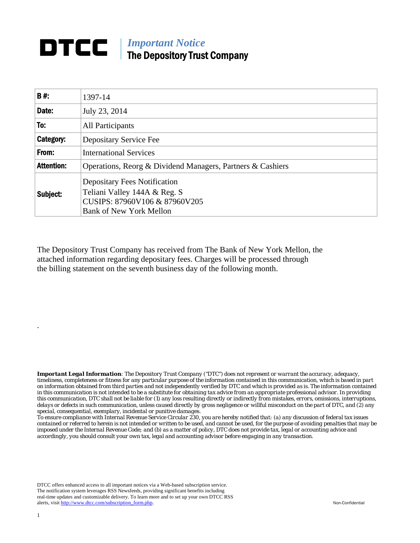## **DTCC** | *Important Notice* The Depository Trust Company

| B#:               | 1397-14                                                                                                                                |  |
|-------------------|----------------------------------------------------------------------------------------------------------------------------------------|--|
| Date:             | July 23, 2014                                                                                                                          |  |
| To:               | All Participants                                                                                                                       |  |
| Category:         | Depositary Service Fee                                                                                                                 |  |
| From:             | <b>International Services</b>                                                                                                          |  |
| <b>Attention:</b> | Operations, Reorg & Dividend Managers, Partners & Cashiers                                                                             |  |
| Subject:          | <b>Depositary Fees Notification</b><br>Teliani Valley 144A & Reg. S<br>CUSIPS: 87960V106 & 87960V205<br><b>Bank of New York Mellon</b> |  |

The Depository Trust Company has received from The Bank of New York Mellon, the attached information regarding depositary fees. Charges will be processed through the billing statement on the seventh business day of the following month.

*Important Legal Information: The Depository Trust Company ("DTC") does not represent or warrant the accuracy, adequacy, timeliness, completeness or fitness for any particular purpose of the information contained in this communication, which is based in part on information obtained from third parties and not independently verified by DTC and which is provided as is. The information contained in this communication is not intended to be a substitute for obtaining tax advice from an appropriate professional advisor. In providing this communication, DTC shall not be liable for (1) any loss resulting directly or indirectly from mistakes, errors, omissions, interruptions, delays or defects in such communication, unless caused directly by gross negligence or willful misconduct on the part of DTC, and (2) any special, consequential, exemplary, incidental or punitive damages.* 

*To ensure compliance with Internal Revenue Service Circular 230, you are hereby notified that: (a) any discussion of federal tax issues contained or referred to herein is not intended or written to be used, and cannot be used, for the purpose of avoiding penalties that may be imposed under the Internal Revenue Code; and (b) as a matter of policy, DTC does not provide tax, legal or accounting advice and accordingly, you should consult your own tax, legal and accounting advisor before engaging in any transaction.*

DTCC offers enhanced access to all important notices via a Web-based subscription service. The notification system leverages RSS Newsfeeds, providing significant benefits including real-time updates and customizable delivery. To learn more and to set up your own DTCC RSS alerts, visit http://www.dtcc.com/subscription\_form.php. Non-Confidential

.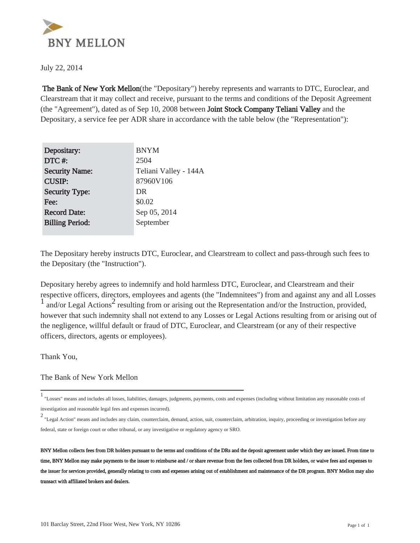

July 22, 2014

 The Bank of New York Mellon(the "Depositary") hereby represents and warrants to DTC, Euroclear, and Clearstream that it may collect and receive, pursuant to the terms and conditions of the Deposit Agreement (the "Agreement"), dated as of Sep 10, 2008 between Joint Stock Company Teliani Valley and the Depositary, a service fee per ADR share in accordance with the table below (the "Representation"):

| Depositary:            | <b>BNYM</b>           |
|------------------------|-----------------------|
| DTC#:                  | 2504                  |
| <b>Security Name:</b>  | Teliani Valley - 144A |
| <b>CUSIP:</b>          | 87960V106             |
| <b>Security Type:</b>  | DR                    |
| Fee:                   | \$0.02                |
| <b>Record Date:</b>    | Sep 05, 2014          |
| <b>Billing Period:</b> | September             |
|                        |                       |

The Depositary hereby instructs DTC, Euroclear, and Clearstream to collect and pass-through such fees to the Depositary (the "Instruction").

Depositary hereby agrees to indemnify and hold harmless DTC, Euroclear, and Clearstream and their respective officers, directors, employees and agents (the "Indemnitees") from and against any and all Losses  $\frac{1}{1}$  and/or Legal Actions<sup>2</sup> resulting from or arising out the Representation and/or the Instruction, provided, however that such indemnity shall not extend to any Losses or Legal Actions resulting from or arising out of the negligence, willful default or fraud of DTC, Euroclear, and Clearstream (or any of their respective officers, directors, agents or employees).

Thank You,

The Bank of New York Mellon

<sup>1</sup> "Losses" means and includes all losses, liabilities, damages, judgments, payments, costs and expenses (including without limitation any reasonable costs of investigation and reasonable legal fees and expenses incurred).

<sup>2</sup> "Legal Action" means and includes any claim, counterclaim, demand, action, suit, counterclaim, arbitration, inquiry, proceeding or investigation before any federal, state or foreign court or other tribunal, or any investigative or regulatory agency or SRO.

BNY Mellon collects fees from DR holders pursuant to the terms and conditions of the DRs and the deposit agreement under which they are issued. From time to time, BNY Mellon may make payments to the issuer to reimburse and / or share revenue from the fees collected from DR holders, or waive fees and expenses to the issuer for services provided, generally relating to costs and expenses arising out of establishment and maintenance of the DR program. BNY Mellon may also transact with affiliated brokers and dealers.